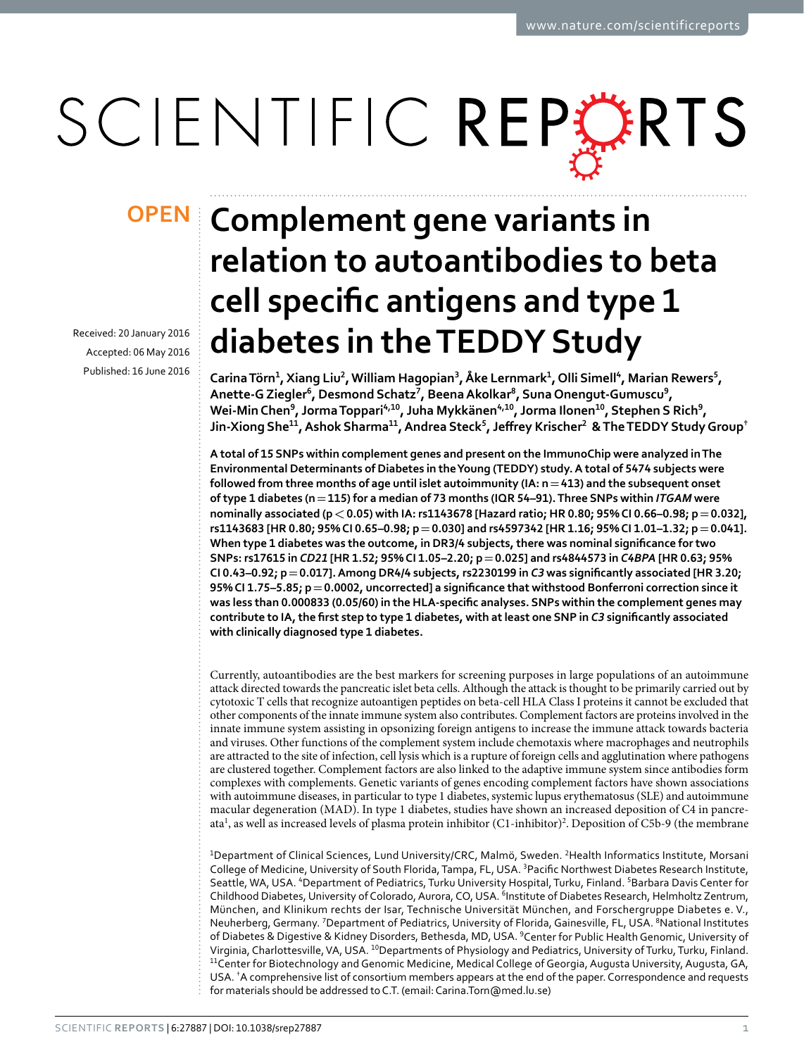# SCIENTIFIC REPORTS

Received: 20 January 2016 accepted: 06 May 2016 Published: 16 June 2016

## **Complement gene variants in OPENrelation to autoantibodies to beta cell specific antigens and type 1 diabetes in the TEDDY Study**

**CarinaTörn<sup>1</sup>, Xiang Liu<sup>2</sup>, William Hagopian<sup>3</sup>, Åke Lernmark<sup>1</sup>, Olli Simell<sup>4</sup>, Marian Rewers<sup>5</sup>, Anette-GZiegler<sup>6</sup>, Desmond Schatz<sup>7</sup>, BeenaAkolkar<sup>8</sup>, SunaOnengut-Gumuscu<sup>9</sup>, Wei-Min Chen**<sup>9</sup>, Jorma Toppari<sup>4,10</sup>, Juha Mykkänen<sup>4,10</sup>, Jorma Ilonen<sup>10</sup>, Stephen S Rich<sup>9</sup>, **Jin-Xiong She<sup>11</sup>, Ashok Sharma<sup>11</sup>, Andrea Steck5, Jeffrey Krischer2 & The TEDDY Study Group†**

**A total of 15 SNPs within complement genes and present on the ImmunoChip were analyzed in The Environmental Determinants of Diabetes in the Young (TEDDY) study. A total of 5474 subjects were followed from three months of age until islet autoimmunity (IA: n=413) and the subsequent onset of type 1 diabetes (n=115) for a median of 73 months (IQR 54–91). Three SNPs within** *ITGAM* **were nominally associated (p<0.05) with IA: rs1143678 [Hazard ratio; HR 0.80; 95% CI 0.66–0.98; p=0.032], rs1143683 [HR 0.80; 95% CI 0.65–0.98; p=0.030] and rs4597342 [HR 1.16; 95% CI 1.01–1.32; p=0.041]. When type 1 diabetes was the outcome, in DR3/4 subjects, there was nominal significance for two SNPs: rs17615 in** *CD21* **[HR 1.52; 95% CI 1.05–2.20; p=0.025] and rs4844573 in** *C4BPA* **[HR 0.63; 95% CI 0.43–0.92; p=0.017]. Among DR4/4 subjects, rs2230199 in** *C3* **was significantly associated [HR 3.20; 95% CI 1.75–5.85; p=0.0002, uncorrected] a significance that withstood Bonferroni correction since it was less than 0.000833 (0.05/60) in the HLA-specific analyses. SNPs within the complement genes may contribute to IA, the first step to type 1 diabetes, with at least one SNP in** *C3* **significantly associated with clinically diagnosed type 1 diabetes.**

Currently, autoantibodies are the best markers for screening purposes in large populations of an autoimmune attack directed towards the pancreatic islet beta cells. Although the attack is thought to be primarily carried out by cytotoxic T cells that recognize autoantigen peptides on beta-cell HLA Class I proteins it cannot be excluded that other components of the innate immune system also contributes. Complement factors are proteins involved in the innate immune system assisting in opsonizing foreign antigens to increase the immune attack towards bacteria and viruses. Other functions of the complement system include chemotaxis where macrophages and neutrophils are attracted to the site of infection, cell lysis which is a rupture of foreign cells and agglutination where pathogens are clustered together. Complement factors are also linked to the adaptive immune system since antibodies form complexes with complements. Genetic variants of genes encoding complement factors have shown associations with autoimmune diseases, in particular to type 1 diabetes, systemic lupus erythematosus (SLE) and autoimmune macular degeneration (MAD). In type 1 diabetes, studies have shown an increased deposition of C4 in pancre-ata<sup>1</sup>, as well as increased levels of plasma protein inhibitor (C1-inhibitor)<sup>[2](#page-7-1)</sup>. Deposition of C5b-9 (the membrane

<sup>1</sup>Department of Clinical Sciences, Lund University/CRC, Malmö, Sweden. <sup>2</sup>Health Informatics Institute, Morsani College of Medicine, University of South Florida, Tampa, FL, USA. <sup>3</sup> Pacific Northwest Diabetes Research Institute, Seattle, WA, USA. <sup>4</sup>Department of Pediatrics, Turku University Hospital, Turku, Finland. <sup>5</sup>Barbara Davis Center for Childhood Diabetes, University of Colorado, Aurora, CO, USA. <sup>6</sup>Institute of Diabetes Research, Helmholtz Zentrum, München, and Klinikum rechts der Isar, Technische Universität München, and Forschergruppe Diabetes e. V., Neuherberg, Germany. <sup>7</sup> Department of Pediatrics, University of Florida, Gainesville, FL, USA. <sup>8</sup>National Institutes of Diabetes & Digestive & Kidney Disorders, Bethesda, MD, USA. <sup>9</sup>Center for Public Health Genomic, University of Virginia, Charlottesville, VA, USA. <sup>10</sup>Departments of Physiology and Pediatrics, University of Turku, Turku, Finland. <sup>11</sup>Center for Biotechnology and Genomic Medicine, Medical College of Georgia, Augusta University, Augusta, GA, USA. † A comprehensive list of consortium members appears at the end of the paper. Correspondence and requests for materials should be addressed to C.T. (email: [Carina.Torn@med.lu.se\)](mailto:Carina.Torn@med.lu.se)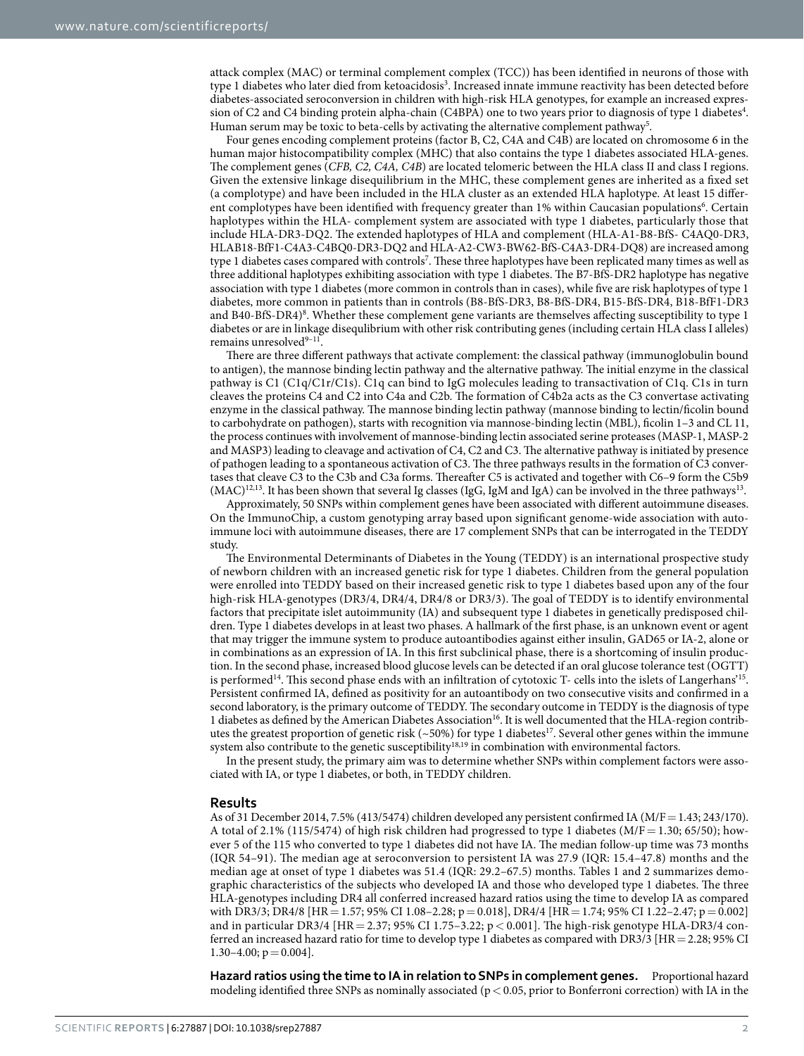attack complex (MAC) or terminal complement complex (TCC)) has been identified in neurons of those with type 1 diabetes who later died from ketoacidosis $^3$  $^3$ . Increased innate immune reactivity has been detected before diabetes-associated seroconversion in children with high-risk HLA genotypes, for example an increased expres-sion of C2 and C[4](#page-7-3) binding protein alpha-chain (C4BPA) one to two years prior to diagnosis of type 1 diabetes<sup>4</sup>. Human serum may be toxic to beta-cells by activating the alternative complement pathway<sup>5</sup>.

Four genes encoding complement proteins (factor B, C2, C4A and C4B) are located on chromosome 6 in the human major histocompatibility complex (MHC) that also contains the type 1 diabetes associated HLA-genes. The complement genes (*CFB, C2, C4A, C4B*) are located telomeric between the HLA class II and class I regions. Given the extensive linkage disequilibrium in the MHC, these complement genes are inherited as a fixed set (a complotype) and have been included in the HLA cluster as an extended HLA haplotype. At least 15 differ-ent complotypes have been identified with frequency greater than 1% within Caucasian populations<sup>[6](#page-7-5)</sup>. Certain haplotypes within the HLA- complement system are associated with type 1 diabetes, particularly those that include HLA-DR3-DQ2. The extended haplotypes of HLA and complement (HLA-A1-B8-BfS- C4AQ0-DR3, HLAB18-BfF1-C4A3-C4BQ0-DR3-DQ2 and HLA-A2-CW3-BW62-BfS-C4A3-DR4-DQ8) are increased among type 1 diabetes cases compared with controls<sup>[7](#page-7-6)</sup>. These three haplotypes have been replicated many times as well as three additional haplotypes exhibiting association with type 1 diabetes. The B7-BfS-DR2 haplotype has negative association with type 1 diabetes (more common in controls than in cases), while five are risk haplotypes of type 1 diabetes, more common in patients than in controls (B8-BfS-DR3, B8-BfS-DR4, B15-BfS-DR4, B18-BfF1-DR3 and B40-BfS-DR4)<sup>8</sup>. Whether these complement gene variants are themselves affecting susceptibility to type 1 diabetes or are in linkage disequlibrium with other risk contributing genes (including certain HLA class I alleles) remains unresolved<sup>9-11</sup>.

There are three different pathways that activate complement: the classical pathway (immunoglobulin bound to antigen), the mannose binding lectin pathway and the alternative pathway. The initial enzyme in the classical pathway is C1 (C1q/C1r/C1s). C1q can bind to IgG molecules leading to transactivation of C1q. C1s in turn cleaves the proteins C4 and C2 into C4a and C2b. The formation of C4b2a acts as the C3 convertase activating enzyme in the classical pathway. The mannose binding lectin pathway (mannose binding to lectin/ficolin bound to carbohydrate on pathogen), starts with recognition via mannose-binding lectin (MBL), ficolin 1–3 and CL 11, the process continues with involvement of mannose-binding lectin associated serine proteases (MASP-1, MASP-2 and MASP3) leading to cleavage and activation of C4, C2 and C3. The alternative pathway is initiated by presence of pathogen leading to a spontaneous activation of C3. The three pathways results in the formation of C3 convertases that cleave C3 to the C3b and C3a forms. Thereafter C5 is activated and together with C6–9 form the C5b9  $(MAC)^{12,13}$  $(MAC)^{12,13}$  $(MAC)^{12,13}$  $(MAC)^{12,13}$  $(MAC)^{12,13}$ . It has been shown that several Ig classes (IgG, IgM and IgA) can be involved in the three pathways<sup>13</sup>.

Approximately, 50 SNPs within complement genes have been associated with different autoimmune diseases. On the ImmunoChip, a custom genotyping array based upon significant genome-wide association with autoimmune loci with autoimmune diseases, there are 17 complement SNPs that can be interrogated in the TEDDY study.

The Environmental Determinants of Diabetes in the Young (TEDDY) is an international prospective study of newborn children with an increased genetic risk for type 1 diabetes. Children from the general population were enrolled into TEDDY based on their increased genetic risk to type 1 diabetes based upon any of the four high-risk HLA-genotypes (DR3/4, DR4/4, DR4/8 or DR3/3). The goal of TEDDY is to identify environmental factors that precipitate islet autoimmunity (IA) and subsequent type 1 diabetes in genetically predisposed children. Type 1 diabetes develops in at least two phases. A hallmark of the first phase, is an unknown event or agent that may trigger the immune system to produce autoantibodies against either insulin, GAD65 or IA-2, alone or in combinations as an expression of IA. In this first subclinical phase, there is a shortcoming of insulin production. In the second phase, increased blood glucose levels can be detected if an oral glucose tolerance test (OGTT) is performed<sup>14</sup>. This second phase ends with an infiltration of cytotoxic T- cells into the islets of Langerhans<sup>15</sup>. Persistent confirmed IA, defined as positivity for an autoantibody on two consecutive visits and confirmed in a second laboratory, is the primary outcome of TEDDY. The secondary outcome in TEDDY is the diagnosis of type 1 diabetes as defined by the American Diabetes Association<sup>[16](#page-7-13)</sup>. It is well documented that the HLA-region contributes the greatest proportion of genetic risk (~50%) for type 1 diabetes<sup>17</sup>. Several other genes within the immune system also contribute to the genetic susceptibility<sup>18,19</sup> in combination with environmental factors.

In the present study, the primary aim was to determine whether SNPs within complement factors were associated with IA, or type 1 diabetes, or both, in TEDDY children.

#### **Results**

As of 31 December 2014, 7.5% (413/5474) children developed any persistent confirmed IA (M/F= 1.43; 243/170). A total of 2.1% (115/5474) of high risk children had progressed to type 1 diabetes (M/F= 1.30; 65/50); however 5 of the 115 who converted to type 1 diabetes did not have IA. The median follow-up time was 73 months (IQR 54–91). The median age at seroconversion to persistent IA was 27.9 (IQR: 15.4–47.8) months and the median age at onset of type 1 diabetes was 51.4 (IQR: 29.2–67.5) months. [Tables 1](#page-2-0) and [2](#page-2-1) summarizes demographic characteristics of the subjects who developed IA and those who developed type 1 diabetes. The three HLA-genotypes including DR4 all conferred increased hazard ratios using the time to develop IA as compared with DR3/3; DR4/8 [HR = 1.57; 95% CI 1.08–2.28; p = 0.018], DR4/4 [HR = 1.74; 95% CI 1.22–2.47; p = 0.002] and in particular DR3/4 [HR = 2.37; 95% CI 1.75–3.22; p < 0.001]. The high-risk genotype HLA-DR3/4 conferred an increased hazard ratio for time to develop type 1 diabetes as compared with DR3/3 [HR=2.28; 95% CI 1.30–4.00;  $p = 0.004$ ].

**Hazard ratios using the time to IA in relation to SNPs in complement genes.** Proportional hazard modeling identified three SNPs as nominally associated ( $p < 0.05$ , prior to Bonferroni correction) with IA in the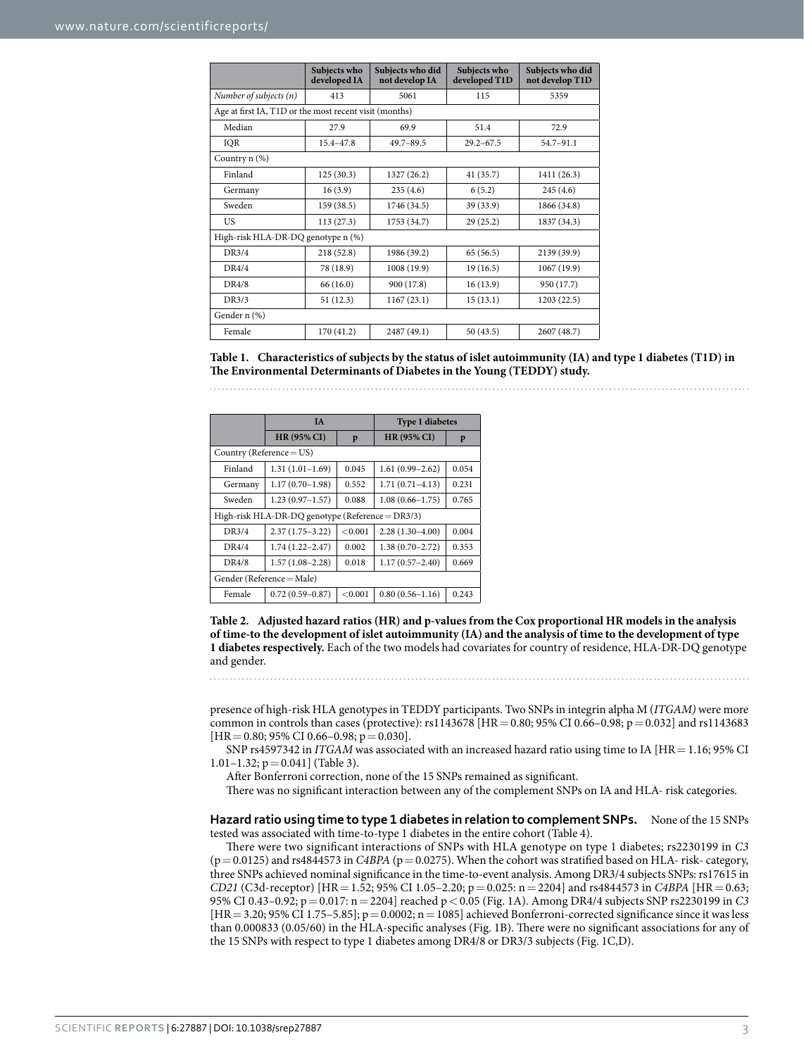<span id="page-2-0"></span>

|                                                        | Subjects who<br>developed IA | Subjects who did<br>not develop IA | Subjects who<br>developed T1D | Subjects who did<br>not develop T1D |  |  |  |
|--------------------------------------------------------|------------------------------|------------------------------------|-------------------------------|-------------------------------------|--|--|--|
| Number of subjects $(n)$                               | 413                          | 5061                               | 115                           | 5359                                |  |  |  |
| Age at first IA, T1D or the most recent visit (months) |                              |                                    |                               |                                     |  |  |  |
| Median                                                 | 27.9                         | 69.9                               | 51.4                          | 72.9                                |  |  |  |
| IOR                                                    | $15.4 - 47.8$                | $49.7 - 89.5$                      | $29.2 - 67.5$                 | 54.7-91.1                           |  |  |  |
| Country n (%)                                          |                              |                                    |                               |                                     |  |  |  |
| Finland                                                | 125(30.3)                    | 1327 (26.2)                        | 41 (35.7)                     | 1411 (26.3)                         |  |  |  |
| Germany                                                | 16(3.9)                      | 235(4.6)                           | 6(5.2)                        | 245(4.6)                            |  |  |  |
| Sweden                                                 | 159 (38.5)                   | 1746 (34.5)                        | 39 (33.9)                     | 1866 (34.8)                         |  |  |  |
| US                                                     | 113(27.3)                    | 1753 (34.7)                        | 29(25.2)                      | 1837 (34.3)                         |  |  |  |
| High-risk HLA-DR-DQ genotype n (%)                     |                              |                                    |                               |                                     |  |  |  |
| DR3/4                                                  | 218(52.8)                    | 1986 (39.2)                        | 65 (56.5)                     | 2139 (39.9)                         |  |  |  |
| DR4/4                                                  | 78 (18.9)                    | 1008 (19.9)                        | 19(16.5)                      | 1067 (19.9)                         |  |  |  |
| <b>DR4/8</b>                                           | 66 (16.0)                    | 900 (17.8)                         | 16(13.9)                      | 950 (17.7)                          |  |  |  |
| DR3/3                                                  | 51(12.3)                     | 1167(23.1)                         | 15(13.1)                      | 1203(22.5)                          |  |  |  |
| Gender n (%)                                           |                              |                                    |                               |                                     |  |  |  |
| Female                                                 | 170 (41.2)                   | 2487 (49.1)                        | 50 (43.5)                     | 2607 (48.7)                         |  |  |  |

**Table 1. Characteristics of subjects by the status of islet autoimmunity (IA) and type 1 diabetes (T1D) in The Environmental Determinants of Diabetes in the Young (TEDDY) study.**

<span id="page-2-1"></span>

|                                                  | <b>IA</b>           |         | <b>Type 1 diabetes</b> |       |  |  |
|--------------------------------------------------|---------------------|---------|------------------------|-------|--|--|
|                                                  | <b>HR (95% CI)</b>  | p       | <b>HR (95% CI)</b>     | P     |  |  |
| Country (Reference = $US$ )                      |                     |         |                        |       |  |  |
| Finland                                          | $1.31(1.01-1.69)$   | 0.045   | $1.61(0.99 - 2.62)$    | 0.054 |  |  |
| Germany                                          | $1.17(0.70-1.98)$   | 0.552   | $1.71(0.71 - 4.13)$    | 0.231 |  |  |
| Sweden                                           | $1.23(0.97-1.57)$   | 0.088   | $1.08(0.66 - 1.75)$    | 0.765 |  |  |
| High-risk HLA-DR-DQ genotype (Reference = DR3/3) |                     |         |                        |       |  |  |
| DR3/4                                            | $2.37(1.75-3.22)$   | < 0.001 | $2.28(1.30-4.00)$      | 0.004 |  |  |
| DR4/4                                            | $1.74(1.22 - 2.47)$ | 0.002   | $1.38(0.70 - 2.72)$    | 0.353 |  |  |
| DR4/8                                            | $1.57(1.08-2.28)$   | 0.018   | $1.17(0.57 - 2.40)$    | 0.669 |  |  |
| Gender (Reference = Male)                        |                     |         |                        |       |  |  |
| Female                                           | $0.72(0.59 - 0.87)$ | < 0.001 | $0.80(0.56 - 1.16)$    | 0.243 |  |  |

**Table 2. Adjusted hazard ratios (HR) and p-values from the Cox proportional HR models in the analysis of time-to the development of islet autoimmunity (IA) and the analysis of time to the development of type 1 diabetes respectively.** Each of the two models had covariates for country of residence, HLA-DR-DQ genotype and gender.

presence of high-risk HLA genotypes in TEDDY participants. Two SNPs in integrin alpha M (*ITGAM)* were more common in controls than cases (protective):  $rsl143678$  [HR = 0.80; 95% CI 0.66–0.98; p = 0.032] and  $rsl143683$  $[HR = 0.80; 95\% \text{ CI } 0.66 - 0.98; p = 0.030].$ 

SNP rs4597342 in *ITGAM* was associated with an increased hazard ratio using time to IA [HR = 1.16; 95% CI 1.01–1.32;  $p = 0.041$ ] ([Table 3\)](#page-3-0).

After Bonferroni correction, none of the 15 SNPs remained as significant.

There was no significant interaction between any of the complement SNPs on IA and HLA- risk categories.

**Hazard ratio using time to type 1 diabetes in relation to complement SNPs.** None of the 15 SNPs tested was associated with time-to-type 1 diabetes in the entire cohort ([Table 4](#page-4-0)).

There were two significant interactions of SNPs with HLA genotype on type 1 diabetes; rs2230199 in *C3*  $(p= 0.0125)$  and rs4844573 in *C4BPA* ( $p= 0.0275$ ). When the cohort was stratified based on HLA- risk- category, three SNPs achieved nominal significance in the time-to-event analysis. Among DR3/4 subjects SNPs: rs17615 in *CD21* (C3d-receptor) [HR= 1.52; 95% CI 1.05–2.20; p= 0.025: n= 2204] and rs4844573 in *C4BPA* [HR= 0.63; 95% CI 0.43–0.92; p=0.017: n=2204] reached p<0.05 ([Fig. 1A](#page-5-0)). Among DR4/4 subjects SNP rs2230199 in *C3*  $[HR = 3.20; 95% CI 1.75-5.85]; p = 0.0002; n = 1085]$  achieved Bonferroni-corrected significance since it was less than 0.000833 (0.05/60) in the HLA-specific analyses ([Fig. 1B\)](#page-5-0). There were no significant associations for any of the 15 SNPs with respect to type 1 diabetes among DR4/8 or DR3/3 subjects [\(Fig. 1C,D\)](#page-5-0).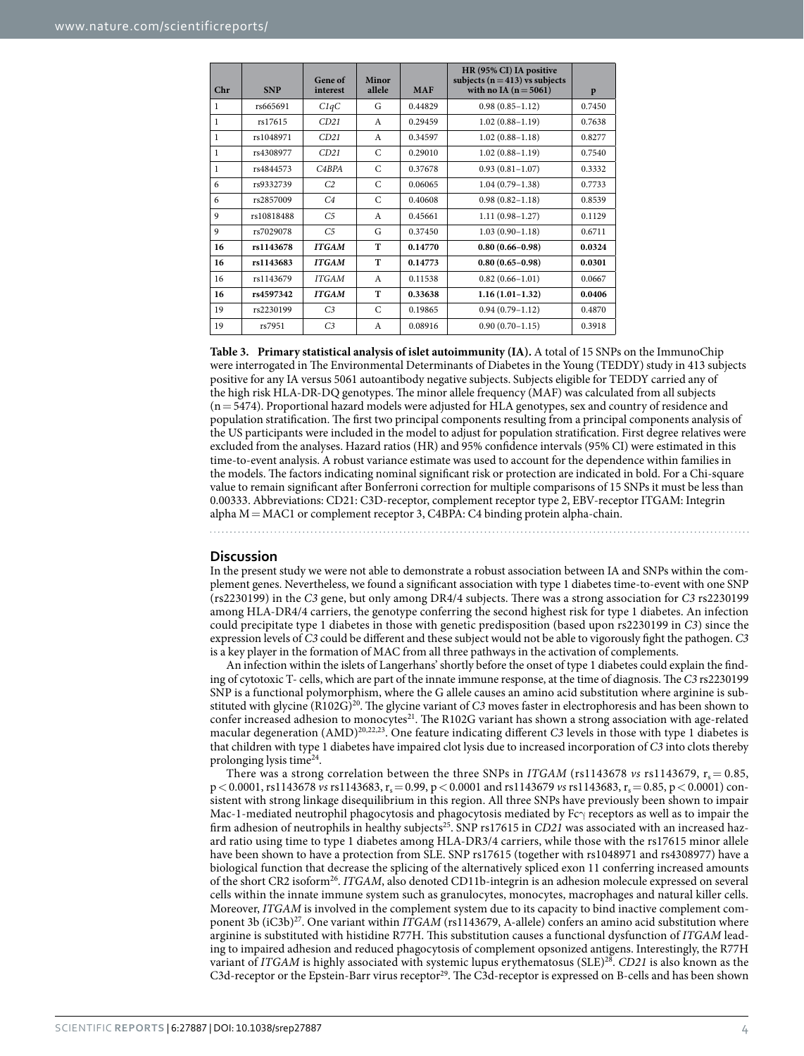<span id="page-3-0"></span>

| Chr | <b>SNP</b> | Gene of<br>interest | Minor<br>allele | <b>MAF</b> | HR (95% CI) IA positive<br>subjects ( $n = 413$ ) vs subjects<br>with no IA $(n = 5061)$ | p      |
|-----|------------|---------------------|-----------------|------------|------------------------------------------------------------------------------------------|--------|
| 1   | rs665691   | C1qC                | G               | 0.44829    | $0.98(0.85 - 1.12)$                                                                      | 0.7450 |
| 1   | rs17615    | CD21                | $\mathsf{A}$    | 0.29459    | $1.02(0.88 - 1.19)$                                                                      | 0.7638 |
| 1   | rs1048971  | CD21                | $\mathsf{A}$    | 0.34597    | $1.02(0.88 - 1.18)$                                                                      | 0.8277 |
| 1   | rs4308977  | CD21                | $\mathcal{C}$   | 0.29010    | $1.02(0.88 - 1.19)$                                                                      | 0.7540 |
| 1   | rs4844573  | C4BPA               | $\mathcal{C}$   | 0.37678    | $0.93(0.81 - 1.07)$                                                                      | 0.3332 |
| 6   | rs9332739  | C <sub>2</sub>      | C               | 0.06065    | $1.04(0.79-1.38)$                                                                        | 0.7733 |
| 6   | rs2857009  | C <sub>4</sub>      | $\mathcal{C}$   | 0.40608    | $0.98(0.82 - 1.18)$                                                                      | 0.8539 |
| 9   | rs10818488 | C <sub>5</sub>      | $\mathsf{A}$    | 0.45661    | $1.11(0.98 - 1.27)$                                                                      | 0.1129 |
| 9   | rs7029078  | C <sub>5</sub>      | G               | 0.37450    | $1.03(0.90-1.18)$                                                                        | 0.6711 |
| 16  | rs1143678  | <b>ITGAM</b>        | T               | 0.14770    | $0.80(0.66 - 0.98)$                                                                      | 0.0324 |
| 16  | rs1143683  | <b>ITGAM</b>        | T               | 0.14773    | $0.80(0.65 - 0.98)$                                                                      | 0.0301 |
| 16  | rs1143679  | <b>ITGAM</b>        | $\mathsf{A}$    | 0.11538    | $0.82(0.66 - 1.01)$                                                                      | 0.0667 |
| 16  | rs4597342  | <b>ITGAM</b>        | T               | 0.33638    | $1.16(1.01-1.32)$                                                                        | 0.0406 |
| 19  | rs2230199  | C <sub>3</sub>      | $\mathcal{C}$   | 0.19865    | $0.94(0.79 - 1.12)$                                                                      | 0.4870 |
| 19  | rs7951     | C <sub>3</sub>      | A               | 0.08916    | $0.90(0.70 - 1.15)$                                                                      | 0.3918 |

**Table 3. Primary statistical analysis of islet autoimmunity (IA).** A total of 15 SNPs on the ImmunoChip were interrogated in The Environmental Determinants of Diabetes in the Young (TEDDY) study in 413 subjects positive for any IA versus 5061 autoantibody negative subjects. Subjects eligible for TEDDY carried any of the high risk HLA-DR-DQ genotypes. The minor allele frequency (MAF) was calculated from all subjects (n=5474). Proportional hazard models were adjusted for HLA genotypes, sex and country of residence and population stratification. The first two principal components resulting from a principal components analysis of the US participants were included in the model to adjust for population stratification. First degree relatives were excluded from the analyses. Hazard ratios (HR) and 95% confidence intervals (95% CI) were estimated in this time-to-event analysis. A robust variance estimate was used to account for the dependence within families in the models. The factors indicating nominal significant risk or protection are indicated in bold. For a Chi-square value to remain significant after Bonferroni correction for multiple comparisons of 15 SNPs it must be less than 0.00333. Abbreviations: CD21: C3D-receptor, complement receptor type 2, EBV-receptor ITGAM: Integrin alpha M=MAC1 or complement receptor 3, C4BPA: C4 binding protein alpha-chain.

#### **Discussion**

In the present study we were not able to demonstrate a robust association between IA and SNPs within the complement genes. Nevertheless, we found a significant association with type 1 diabetes time-to-event with one SNP (rs2230199) in the *C3* gene, but only among DR4/4 subjects. There was a strong association for *C3* rs2230199 among HLA-DR4/4 carriers, the genotype conferring the second highest risk for type 1 diabetes. An infection could precipitate type 1 diabetes in those with genetic predisposition (based upon rs2230199 in *C3*) since the expression levels of *C3* could be different and these subject would not be able to vigorously fight the pathogen. *C3* is a key player in the formation of MAC from all three pathways in the activation of complements.

An infection within the islets of Langerhans' shortly before the onset of type 1 diabetes could explain the finding of cytotoxic T- cells, which are part of the innate immune response, at the time of diagnosis. The *C3* rs2230199 SNP is a functional polymorphism, where the G allele causes an amino acid substitution where arginine is substituted with glycine (R102G)<sup>20</sup>. The glycine variant of *C3* moves faster in electrophoresis and has been shown to confer increased adhesion to monocytes<sup>21</sup>. The R102G variant has shown a strong association with age-related macular degeneration (AMD[\)20](#page-7-17),[22](#page-7-19),[23](#page-7-20). One feature indicating different *C3* levels in those with type 1 diabetes is that children with type 1 diabetes have impaired clot lysis due to increased incorporation of *C3* into clots thereby prolonging lysis time[24](#page-8-0).

There was a strong correlation between the three SNPs in *ITGAM* (rs1143678 *vs* rs1143679,  $r_s = 0.85$ , p < 0.0001, rs1143678 *vs* rs1143683, r<sub>s</sub> = 0.99, p < 0.0001 and rs1143679 *vs* rs1143683, r<sub>s</sub> = 0.85, p < 0.0001) consistent with strong linkage disequilibrium in this region. All three SNPs have previously been shown to impair Mac-1-mediated neutrophil phagocytosis and phagocytosis mediated by Fcγ receptors as well as to impair the firm adhesion of neutrophils in healthy subject[s25.](#page-8-1) SNP rs17615 in *CD21* was associated with an increased hazard ratio using time to type 1 diabetes among HLA-DR3/4 carriers, while those with the rs17615 minor allele have been shown to have a protection from SLE. SNP rs17615 (together with rs1048971 and rs4308977) have a biological function that decrease the splicing of the alternatively spliced exon 11 conferring increased amounts of the short CR2 isoform<sup>[26](#page-8-2)</sup>. *ITGAM*, also denoted CD11b-integrin is an adhesion molecule expressed on several cells within the innate immune system such as granulocytes, monocytes, macrophages and natural killer cells. Moreover, *ITGAM* is involved in the complement system due to its capacity to bind inactive complement component 3b (iC3b)<sup>27</sup>. One variant within *ITGAM* (rs1143679, A-allele) confers an amino acid substitution where arginine is substituted with histidine R77H. This substitution causes a functional dysfunction of *ITGAM* leading to impaired adhesion and reduced phagocytosis of complement opsonized antigens. Interestingly, the R77H variant of *ITGAM* is highly associated with systemic lupus erythematosus (SLE[\)28.](#page-8-4) *CD21* is also known as the C3d-receptor or the Epstein-Barr virus receptor<sup>29</sup>. The C3d-receptor is expressed on B-cells and has been shown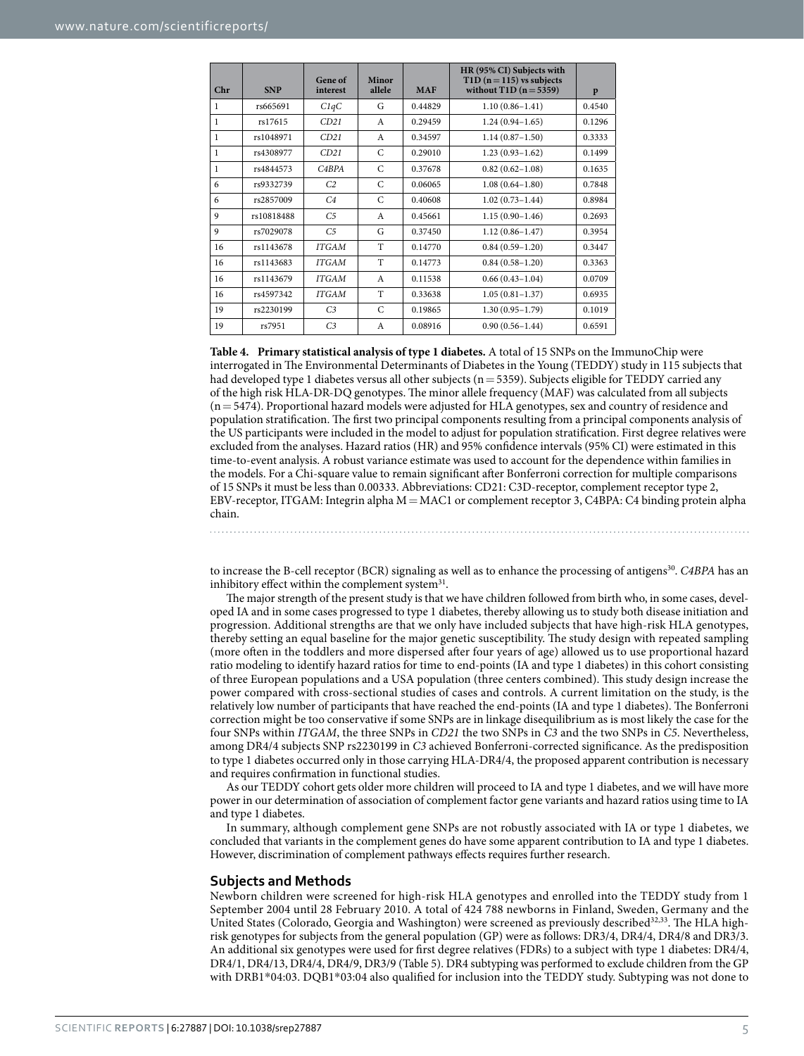<span id="page-4-0"></span>

| Chr          | <b>SNP</b> | Gene of<br>interest | Minor<br>allele | <b>MAF</b> | HR (95% CI) Subjects with<br>$T1D (n=115)$ vs subjects<br>without $T1D(n=5359)$ | p      |
|--------------|------------|---------------------|-----------------|------------|---------------------------------------------------------------------------------|--------|
| 1            | rs665691   | C1qC                | G               | 0.44829    | $1.10(0.86 - 1.41)$                                                             | 0.4540 |
| $\mathbf{1}$ | rs17615    | CD21                | $\mathsf{A}$    | 0.29459    | $1.24(0.94-1.65)$                                                               | 0.1296 |
| $\mathbf{1}$ | rs1048971  | CD21                | A               | 0.34597    | $1.14(0.87-1.50)$                                                               | 0.3333 |
| $\mathbf{1}$ | rs4308977  | CD21                | $\mathsf{C}$    | 0.29010    | $1.23(0.93 - 1.62)$                                                             | 0.1499 |
| $\mathbf{1}$ | rs4844573  | CABPA               | $\mathsf{C}$    | 0.37678    | $0.82(0.62 - 1.08)$                                                             | 0.1635 |
| 6            | rs9332739  | C <sub>2</sub>      | C               | 0.06065    | $1.08(0.64 - 1.80)$                                                             | 0.7848 |
| 6            | rs2857009  | C <sub>4</sub>      | C               | 0.40608    | $1.02(0.73 - 1.44)$                                                             | 0.8984 |
| 9            | rs10818488 | C <sub>5</sub>      | $\mathsf{A}$    | 0.45661    | $1.15(0.90-1.46)$                                                               | 0.2693 |
| 9            | rs7029078  | C <sub>5</sub>      | G               | 0.37450    | $1.12(0.86 - 1.47)$                                                             | 0.3954 |
| 16           | rs1143678  | <b>ITGAM</b>        | T               | 0.14770    | $0.84(0.59 - 1.20)$                                                             | 0.3447 |
| 16           | rs1143683  | <b>ITGAM</b>        | T               | 0.14773    | $0.84(0.58 - 1.20)$                                                             | 0.3363 |
| 16           | rs1143679  | <b>ITGAM</b>        | A               | 0.11538    | $0.66(0.43 - 1.04)$                                                             | 0.0709 |
| 16           | rs4597342  | <b>ITGAM</b>        | T               | 0.33638    | $1.05(0.81 - 1.37)$                                                             | 0.6935 |
| 19           | rs2230199  | C <sub>3</sub>      | $\mathcal{C}$   | 0.19865    | $1.30(0.95 - 1.79)$                                                             | 0.1019 |
| 19           | rs7951     | C <sub>3</sub>      | A               | 0.08916    | $0.90(0.56 - 1.44)$                                                             | 0.6591 |

**Table 4. Primary statistical analysis of type 1 diabetes.** A total of 15 SNPs on the ImmunoChip were interrogated in The Environmental Determinants of Diabetes in the Young (TEDDY) study in 115 subjects that had developed type 1 diabetes versus all other subjects (n = 5359). Subjects eligible for TEDDY carried any of the high risk HLA-DR-DQ genotypes. The minor allele frequency (MAF) was calculated from all subjects (n=5474). Proportional hazard models were adjusted for HLA genotypes, sex and country of residence and population stratification. The first two principal components resulting from a principal components analysis of the US participants were included in the model to adjust for population stratification. First degree relatives were excluded from the analyses. Hazard ratios (HR) and 95% confidence intervals (95% CI) were estimated in this time-to-event analysis. A robust variance estimate was used to account for the dependence within families in the models. For a Chi-square value to remain significant after Bonferroni correction for multiple comparisons of 15 SNPs it must be less than 0.00333. Abbreviations: CD21: C3D-receptor, complement receptor type 2, EBV-receptor, ITGAM: Integrin alpha M=MAC1 or complement receptor 3, C4BPA: C4 binding protein alpha chain.

to increase the B-cell receptor (BCR) signaling as well as to enhance the processing of antigens<sup>30</sup>. *C4BPA* has an inhibitory effect within the complement system $31$ .

The major strength of the present study is that we have children followed from birth who, in some cases, developed IA and in some cases progressed to type 1 diabetes, thereby allowing us to study both disease initiation and progression. Additional strengths are that we only have included subjects that have high-risk HLA genotypes, thereby setting an equal baseline for the major genetic susceptibility. The study design with repeated sampling (more often in the toddlers and more dispersed after four years of age) allowed us to use proportional hazard ratio modeling to identify hazard ratios for time to end-points (IA and type 1 diabetes) in this cohort consisting of three European populations and a USA population (three centers combined). This study design increase the power compared with cross-sectional studies of cases and controls. A current limitation on the study, is the relatively low number of participants that have reached the end-points (IA and type 1 diabetes). The Bonferroni correction might be too conservative if some SNPs are in linkage disequilibrium as is most likely the case for the four SNPs within *ITGAM*, the three SNPs in *CD21* the two SNPs in *C3* and the two SNPs in *C5*. Nevertheless, among DR4/4 subjects SNP rs2230199 in *C3* achieved Bonferroni-corrected significance. As the predisposition to type 1 diabetes occurred only in those carrying HLA-DR4/4, the proposed apparent contribution is necessary and requires confirmation in functional studies.

As our TEDDY cohort gets older more children will proceed to IA and type 1 diabetes, and we will have more power in our determination of association of complement factor gene variants and hazard ratios using time to IA and type 1 diabetes.

In summary, although complement gene SNPs are not robustly associated with IA or type 1 diabetes, we concluded that variants in the complement genes do have some apparent contribution to IA and type 1 diabetes. However, discrimination of complement pathways effects requires further research.

#### **Subjects and Methods**

Newborn children were screened for high-risk HLA genotypes and enrolled into the TEDDY study from 1 September 2004 until 28 February 2010. A total of 424 788 newborns in Finland, Sweden, Germany and the United States (Colorado, Georgia and Washington) were screened as previously described<sup>[32,](#page-8-8)33</sup>. The HLA highrisk genotypes for subjects from the general population (GP) were as follows: DR3/4, DR4/4, DR4/8 and DR3/3. An additional six genotypes were used for first degree relatives (FDRs) to a subject with type 1 diabetes: DR4/4, DR4/1, DR4/13, DR4/4, DR4/9, DR3/9 [\(Table 5\)](#page-6-0). DR4 subtyping was performed to exclude children from the GP with DRB1\*04:03. DQB1\*03:04 also qualified for inclusion into the TEDDY study. Subtyping was not done to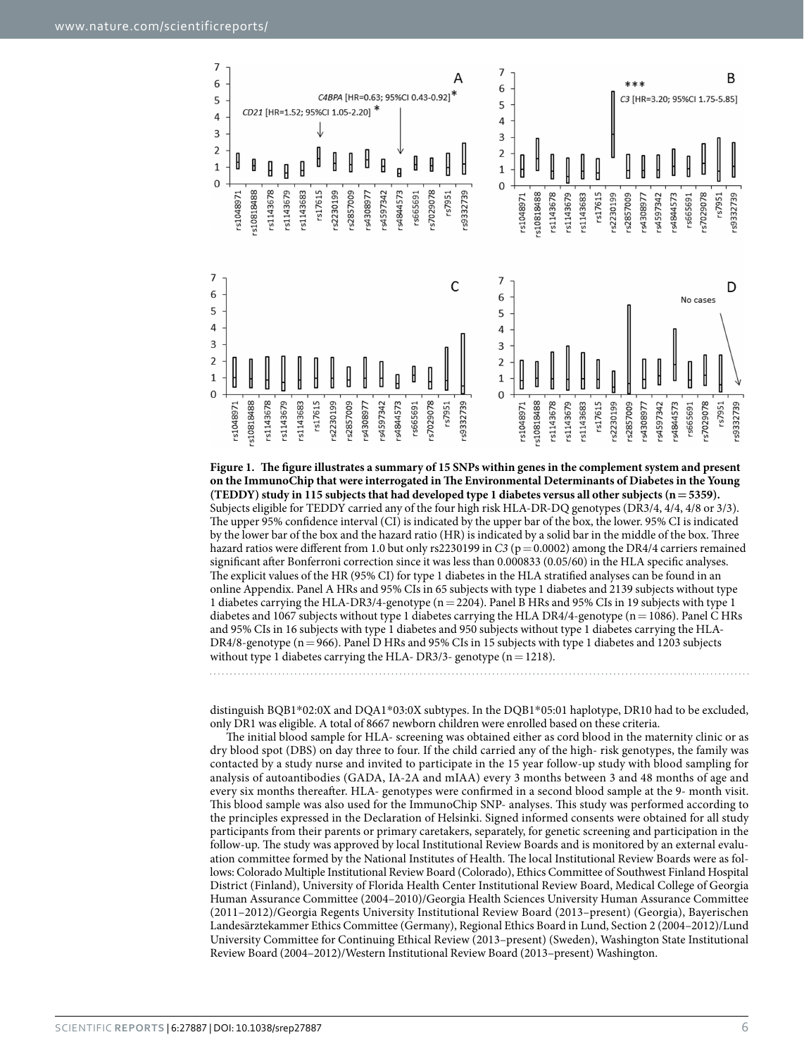

<span id="page-5-0"></span>**Figure 1. The figure illustrates a summary of 15 SNPs within genes in the complement system and present on the ImmunoChip that were interrogated in The Environmental Determinants of Diabetes in the Young (TEDDY) study in 115 subjects that had developed type 1 diabetes versus all other subjects (n=5359).**  Subjects eligible for TEDDY carried any of the four high risk HLA-DR-DQ genotypes (DR3/4, 4/4, 4/8 or 3/3). The upper 95% confidence interval (CI) is indicated by the upper bar of the box, the lower. 95% CI is indicated by the lower bar of the box and the hazard ratio (HR) is indicated by a solid bar in the middle of the box. Three hazard ratios were different from 1.0 but only rs2230199 in *C3* (p = 0.0002) among the DR4/4 carriers remained significant after Bonferroni correction since it was less than 0.000833 (0.05/60) in the HLA specific analyses. The explicit values of the HR (95% CI) for type 1 diabetes in the HLA stratified analyses can be found in an online Appendix. Panel A HRs and 95% CIs in 65 subjects with type 1 diabetes and 2139 subjects without type 1 diabetes carrying the HLA-DR3/4-genotype (n=2204). Panel B HRs and 95% CIs in 19 subjects with type 1 diabetes and 1067 subjects without type 1 diabetes carrying the HLA DR4/4-genotype (n=1086). Panel C HRs and 95% CIs in 16 subjects with type 1 diabetes and 950 subjects without type 1 diabetes carrying the HLA-DR4/8-genotype (n=966). Panel D HRs and 95% CIs in 15 subjects with type 1 diabetes and 1203 subjects without type 1 diabetes carrying the HLA- DR3/3- genotype  $(n=1218)$ .

distinguish BQB1\*02:0X and DQA1\*03:0X subtypes. In the DQB1\*05:01 haplotype, DR10 had to be excluded, only DR1 was eligible. A total of 8667 newborn children were enrolled based on these criteria.

The initial blood sample for HLA- screening was obtained either as cord blood in the maternity clinic or as dry blood spot (DBS) on day three to four. If the child carried any of the high- risk genotypes, the family was contacted by a study nurse and invited to participate in the 15 year follow-up study with blood sampling for analysis of autoantibodies (GADA, IA-2A and mIAA) every 3 months between 3 and 48 months of age and every six months thereafter. HLA- genotypes were confirmed in a second blood sample at the 9- month visit. This blood sample was also used for the ImmunoChip SNP- analyses. This study was performed according to the principles expressed in the Declaration of Helsinki. Signed informed consents were obtained for all study participants from their parents or primary caretakers, separately, for genetic screening and participation in the follow-up. The study was approved by local Institutional Review Boards and is monitored by an external evaluation committee formed by the National Institutes of Health. The local Institutional Review Boards were as follows: Colorado Multiple Institutional Review Board (Colorado), Ethics Committee of Southwest Finland Hospital District (Finland), University of Florida Health Center Institutional Review Board, Medical College of Georgia Human Assurance Committee (2004–2010)/Georgia Health Sciences University Human Assurance Committee (2011–2012)/Georgia Regents University Institutional Review Board (2013–present) (Georgia), Bayerischen Landesärztekammer Ethics Committee (Germany), Regional Ethics Board in Lund, Section 2 (2004–2012)/Lund University Committee for Continuing Ethical Review (2013–present) (Sweden), Washington State Institutional Review Board (2004–2012)/Western Institutional Review Board (2013–present) Washington.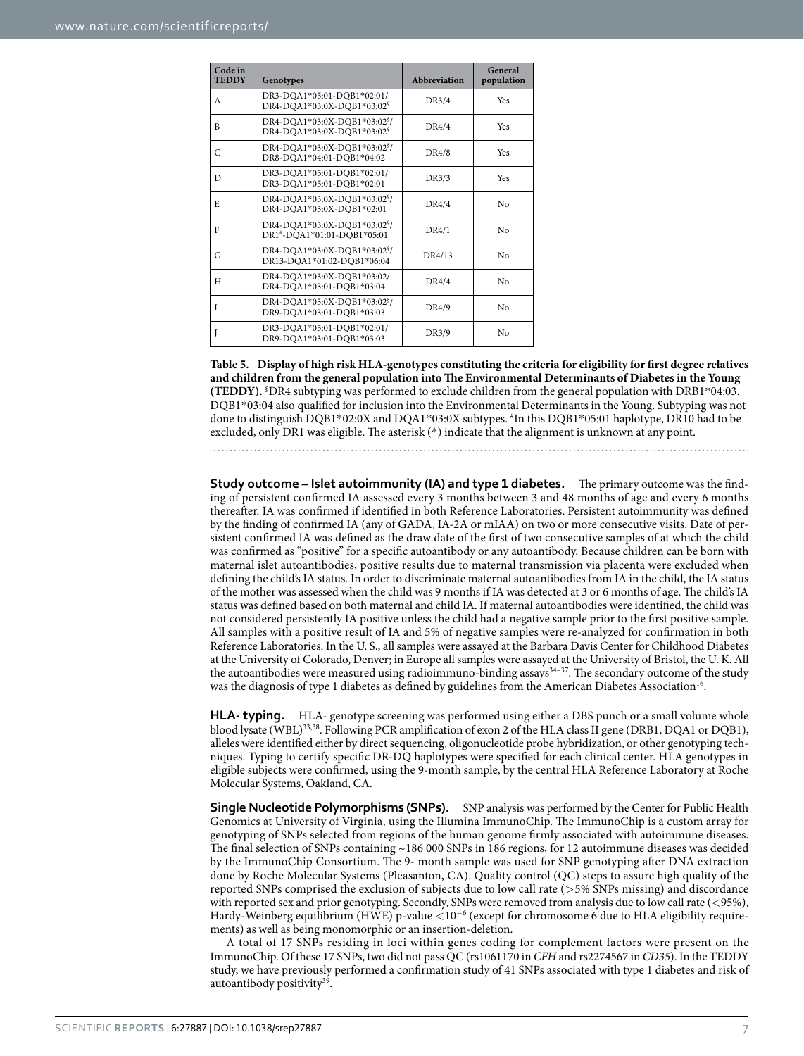<span id="page-6-0"></span>

| Code in<br><b>TEDDY</b> | Genotypes                                                                          | <b>Abbreviation</b> | General<br>population |
|-------------------------|------------------------------------------------------------------------------------|---------------------|-----------------------|
| A                       | DR3-DQA1*05:01-DQB1*02:01/<br>DR4-DOA1*03:0X-DOB1*03:02 <sup>§</sup>               | DR3/4               | Yes                   |
| R                       | DR4-DQA1*03:0X-DQB1*03:02 <sup>§</sup> /<br>DR4-DQA1*03:0X-DQB1*03:02 <sup>6</sup> | DR4/4               | Yes                   |
| C                       | DR4-DOA1*03:0X-DOB1*03:02 <sup>§</sup> /<br>DR8-DQA1*04:01-DQB1*04:02              | DR4/8               | Yes                   |
| D                       | DR3-DQA1*05:01-DQB1*02:01/<br>DR3-DQA1*05:01-DQB1*02:01                            | DR3/3               | Yes                   |
| E                       | DR4-DQA1*03:0X-DQB1*03:02 <sup>§</sup> /<br>DR4-DQA1*03:0X-DQB1*02:01              | DR4/4               | No                    |
| F                       | DR4-DQA1*03:0X-DQB1*03:02 <sup>§</sup> /<br>DR1*-DQA1*01:01-DQB1*05:01             | DR4/1               | No                    |
| G                       | DR4-DQA1*03:0X-DQB1*03:02 <sup>§</sup> /<br>DR13-DQA1*01:02-DQB1*06:04             | DR4/13              | No                    |
| H                       | DR4-DOA1*03:0X-DOB1*03:02/<br>DR4-DQA1*03:01-DQB1*03:04                            | DR4/4               | No                    |
| Ī                       | DR4-DQA1*03:0X-DQB1*03:02 <sup>§</sup> /<br>DR9-DOA1*03:01-DOB1*03:03              | DR4/9               | No                    |
|                         | DR3-DQA1*05:01-DQB1*02:01/<br>DR9-DQA1*03:01-DQB1*03:03                            | DR3/9               | No                    |

**Table 5. Display of high risk HLA-genotypes constituting the criteria for eligibility for first degree relatives and children from the general population into The Environmental Determinants of Diabetes in the Young (TEDDY).** § DR4 subtyping was performed to exclude children from the general population with DRB1\*04:03. DQB1\*03:04 also qualified for inclusion into the Environmental Determinants in the Young. Subtyping was not done to distinguish DQB1\*02:0X and DQA1\*03:0X subtypes. # In this DQB1\*05:01 haplotype, DR10 had to be excluded, only DR1 was eligible. The asterisk (\*) indicate that the alignment is unknown at any point.

**Study outcome – Islet autoimmunity (IA) and type 1 diabetes.** The primary outcome was the finding of persistent confirmed IA assessed every 3 months between 3 and 48 months of age and every 6 months thereafter. IA was confirmed if identified in both Reference Laboratories. Persistent autoimmunity was defined by the finding of confirmed IA (any of GADA, IA-2A or mIAA) on two or more consecutive visits. Date of persistent confirmed IA was defined as the draw date of the first of two consecutive samples of at which the child was confirmed as "positive" for a specific autoantibody or any autoantibody. Because children can be born with maternal islet autoantibodies, positive results due to maternal transmission via placenta were excluded when defining the child's IA status. In order to discriminate maternal autoantibodies from IA in the child, the IA status of the mother was assessed when the child was 9 months if IA was detected at 3 or 6 months of age. The child's IA status was defined based on both maternal and child IA. If maternal autoantibodies were identified, the child was not considered persistently IA positive unless the child had a negative sample prior to the first positive sample. All samples with a positive result of IA and 5% of negative samples were re-analyzed for confirmation in both Reference Laboratories. In the U. S., all samples were assayed at the Barbara Davis Center for Childhood Diabetes at the University of Colorado, Denver; in Europe all samples were assayed at the University of Bristol, the U. K. All the autoantibodies were measured using radioimmuno-binding assays<sup>34-37</sup>. The secondary outcome of the study was the diagnosis of type 1 diabetes as defined by guidelines from the American Diabetes Association<sup>[16](#page-7-13)</sup>.

**HLA- typing.** HLA- genotype screening was performed using either a DBS punch or a small volume whole blood lysate (WBL)<sup>33,38</sup>. Following PCR amplification of exon 2 of the HLA class II gene (DRB1, DQA1 or DQB1), alleles were identified either by direct sequencing, oligonucleotide probe hybridization, or other genotyping techniques. Typing to certify specific DR-DQ haplotypes were specified for each clinical center. HLA genotypes in eligible subjects were confirmed, using the 9-month sample, by the central HLA Reference Laboratory at Roche Molecular Systems, Oakland, CA.

**Single Nucleotide Polymorphisms (SNPs).** SNP analysis was performed by the Center for Public Health Genomics at University of Virginia, using the Illumina ImmunoChip. The ImmunoChip is a custom array for genotyping of SNPs selected from regions of the human genome firmly associated with autoimmune diseases. The final selection of SNPs containing ~186 000 SNPs in 186 regions, for 12 autoimmune diseases was decided by the ImmunoChip Consortium. The 9- month sample was used for SNP genotyping after DNA extraction done by Roche Molecular Systems (Pleasanton, CA). Quality control (QC) steps to assure high quality of the reported SNPs comprised the exclusion of subjects due to low call rate (>5% SNPs missing) and discordance with reported sex and prior genotyping. Secondly, SNPs were removed from analysis due to low call rate (<95%), Hardy-Weinberg equilibrium (HWE) p-value <10<sup>−</sup><sup>6</sup> (except for chromosome 6 due to HLA eligibility requirements) as well as being monomorphic or an insertion-deletion.

A total of 17 SNPs residing in loci within genes coding for complement factors were present on the ImmunoChip. Of these 17 SNPs, two did not pass QC (rs1061170 in *CFH* and rs2274567 in *CD35*). In the TEDDY study, we have previously performed a confirmation study of 41 SNPs associated with type 1 diabetes and risk of autoantibody positivity<sup>[39](#page-8-12)</sup>.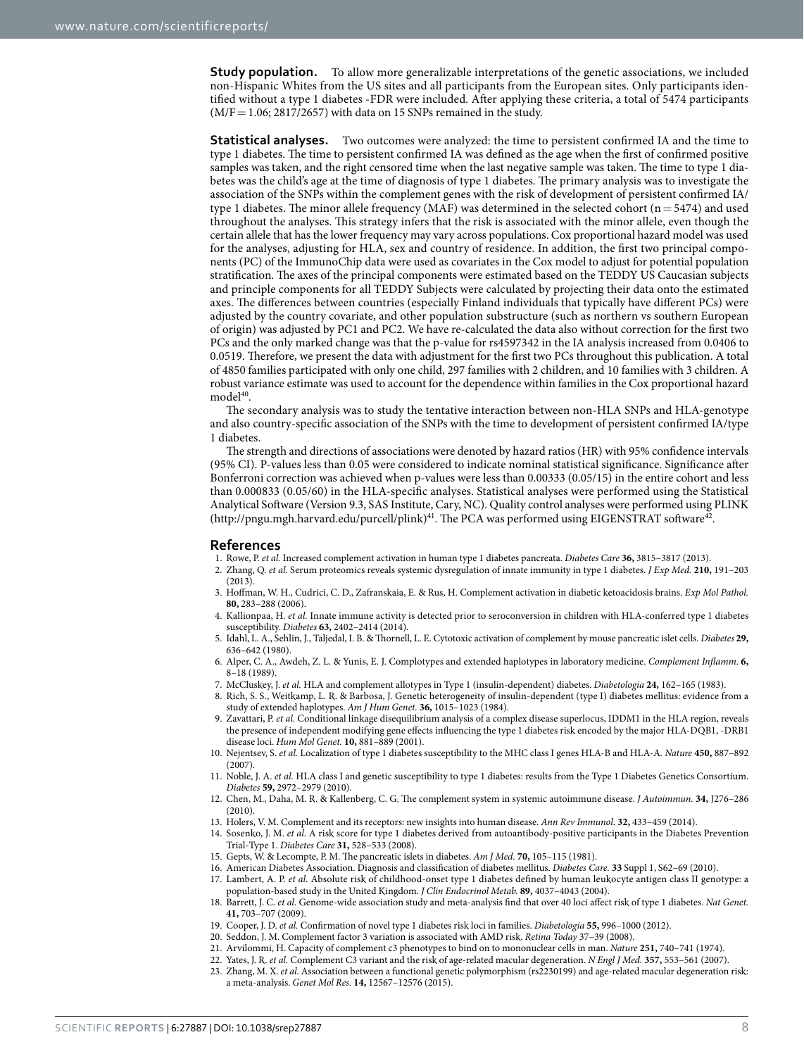**Study population.** To allow more generalizable interpretations of the genetic associations, we included non-Hispanic Whites from the US sites and all participants from the European sites. Only participants identified without a type 1 diabetes -FDR were included. After applying these criteria, a total of 5474 participants  $(M/F=1.06; 2817/2657)$  with data on 15 SNPs remained in the study.

**Statistical analyses.** Two outcomes were analyzed: the time to persistent confirmed IA and the time to type 1 diabetes. The time to persistent confirmed IA was defined as the age when the first of confirmed positive samples was taken, and the right censored time when the last negative sample was taken. The time to type 1 diabetes was the child's age at the time of diagnosis of type 1 diabetes. The primary analysis was to investigate the association of the SNPs within the complement genes with the risk of development of persistent confirmed IA/ type 1 diabetes. The minor allele frequency  $(MAF)$  was determined in the selected cohort (n= 5474) and used throughout the analyses. This strategy infers that the risk is associated with the minor allele, even though the certain allele that has the lower frequency may vary across populations. Cox proportional hazard model was used for the analyses, adjusting for HLA, sex and country of residence. In addition, the first two principal components (PC) of the ImmunoChip data were used as covariates in the Cox model to adjust for potential population stratification. The axes of the principal components were estimated based on the TEDDY US Caucasian subjects and principle components for all TEDDY Subjects were calculated by projecting their data onto the estimated axes. The differences between countries (especially Finland individuals that typically have different PCs) were adjusted by the country covariate, and other population substructure (such as northern vs southern European of origin) was adjusted by PC1 and PC2. We have re-calculated the data also without correction for the first two PCs and the only marked change was that the p-value for rs4597342 in the IA analysis increased from 0.0406 to 0.0519. Therefore, we present the data with adjustment for the first two PCs throughout this publication. A total of 4850 families participated with only one child, 297 families with 2 children, and 10 families with 3 children. A robust variance estimate was used to account for the dependence within families in the Cox proportional hazard model<sup>40</sup>.

The secondary analysis was to study the tentative interaction between non-HLA SNPs and HLA-genotype and also country-specific association of the SNPs with the time to development of persistent confirmed IA/type 1 diabetes.

The strength and directions of associations were denoted by hazard ratios (HR) with 95% confidence intervals (95% CI). P-values less than 0.05 were considered to indicate nominal statistical significance. Significance after Bonferroni correction was achieved when p-values were less than 0.00333 (0.05/15) in the entire cohort and less than 0.000833 (0.05/60) in the HLA-specific analyses. Statistical analyses were performed using the Statistical Analytical Software (Version 9.3, SAS Institute, Cary, NC). Quality control analyses were performed using PLINK (<http://pngu.mgh.harvard.edu/purcell/plink>)<sup>[41](#page-8-14)</sup>. The PCA was performed using EIGENSTRAT software<sup>42</sup>.

#### **References**

- <span id="page-7-0"></span>1. Rowe, P. *et al.* Increased complement activation in human type 1 diabetes pancreata. *Diabetes Care* **36,** 3815–3817 (2013).
- <span id="page-7-1"></span>2. Zhang, Q. *et al.* Serum proteomics reveals systemic dysregulation of innate immunity in type 1 diabetes. *J Exp Med.* **210,** 191–203  $(2013)$ .
- <span id="page-7-2"></span>3. Hoffman, W. H., Cudrici, C. D., Zafranskaia, E. & Rus, H. Complement activation in diabetic ketoacidosis brains. *Exp Mol Pathol.* **80,** 283–288 (2006).
- <span id="page-7-3"></span>4. Kallionpaa, H. *et al.* Innate immune activity is detected prior to seroconversion in children with HLA-conferred type 1 diabetes susceptibility. *Diabetes* **63,** 2402–2414 (2014).
- <span id="page-7-4"></span>5. Idahl, L. A., Sehlin, J., Taljedal, I. B. & Thornell, L. E. Cytotoxic activation of complement by mouse pancreatic islet cells. *Diabetes* **29,** 636–642 (1980).
- <span id="page-7-5"></span>6. Alper, C. A., Awdeh, Z. L. & Yunis, E. J. Complotypes and extended haplotypes in laboratory medicine. *Complement Inflamm*. **6,** 8–18 (1989).
- <span id="page-7-6"></span>7. McCluskey, J. *et al.* HLA and complement allotypes in Type 1 (insulin-dependent) diabetes. *Diabetologia* **24,** 162–165 (1983).
- <span id="page-7-7"></span>8. Rich, S. S., Weitkamp, L. R. & Barbosa, J. Genetic heterogeneity of insulin-dependent (type I) diabetes mellitus: evidence from a study of extended haplotypes. *Am J Hum Genet.* **36,** 1015–1023 (1984).
- <span id="page-7-8"></span>9. Zavattari, P. *et al.* Conditional linkage disequilibrium analysis of a complex disease superlocus, IDDM1 in the HLA region, reveals the presence of independent modifying gene effects influencing the type 1 diabetes risk encoded by the major HLA-DQB1, -DRB1 disease loci. *Hum Mol Genet.* **10,** 881–889 (2001).
- 10. Nejentsev, S. *et al.* Localization of type 1 diabetes susceptibility to the MHC class I genes HLA-B and HLA-A. *Nature* **450,** 887–892  $(2007)$ .
- 11. Noble, J. A. *et al.* HLA class I and genetic susceptibility to type 1 diabetes: results from the Type 1 Diabetes Genetics Consortium. *Diabetes* **59,** 2972–2979 (2010).
- <span id="page-7-9"></span>12. Chen, M., Daha, M. R. & Kallenberg, C. G. The complement system in systemic autoimmune disease. *J Autoimmun.* **34,** J276–286  $(2010)$
- <span id="page-7-10"></span>13. Holers, V. M. Complement and its receptors: new insights into human disease. *Ann Rev Immunol*. **32,** 433–459 (2014).
- <span id="page-7-11"></span>14. Sosenko, J. M. *et al.* A risk score for type 1 diabetes derived from autoantibody-positive participants in the Diabetes Prevention Trial-Type 1. *Diabetes Care* **31,** 528–533 (2008).
- <span id="page-7-12"></span>15. Gepts, W. & Lecompte, P. M. The pancreatic islets in diabetes. *Am J Med.* **70,** 105–115 (1981).
- <span id="page-7-14"></span><span id="page-7-13"></span>16. American Diabetes Association. Diagnosis and classification of diabetes mellitus. *Diabetes Care.* **33** Suppl 1, S62–69 (2010).
- 17. Lambert, A. P. *et al.* Absolute risk of childhood-onset type 1 diabetes defined by human leukocyte antigen class II genotype: a population-based study in the United Kingdom. *J Clin Endocrinol Metab.* **89,** 4037–4043 (2004).
- <span id="page-7-15"></span>18. Barrett, J. C. *et al.* Genome-wide association study and meta-analysis find that over 40 loci affect risk of type 1 diabetes. *Nat Genet.* **41,** 703–707 (2009).
- <span id="page-7-17"></span><span id="page-7-16"></span>19. Cooper, J. D. *et al.* Confirmation of novel type 1 diabetes risk loci in families. *Diabetologia* **55,** 996–1000 (2012).
- 20. Seddon, J. M. Complement factor 3 variation is associated with AMD risk. *Retina Today* 37–39 (2008).
- <span id="page-7-19"></span><span id="page-7-18"></span>21. Arvilommi, H. Capacity of complement c3 phenotypes to bind on to mononuclear cells in man. *Nature* **251,** 740–741 (1974).
- 22. Yates, J. R. *et al.* Complement C3 variant and the risk of age-related macular degeneration. *N Engl J Med.* **357,** 553–561 (2007).
- <span id="page-7-20"></span>23. Zhang, M. X. *et al.* Association between a functional genetic polymorphism (rs2230199) and age-related macular degeneration risk: a meta-analysis. *Genet Mol Res.* **14,** 12567–12576 (2015).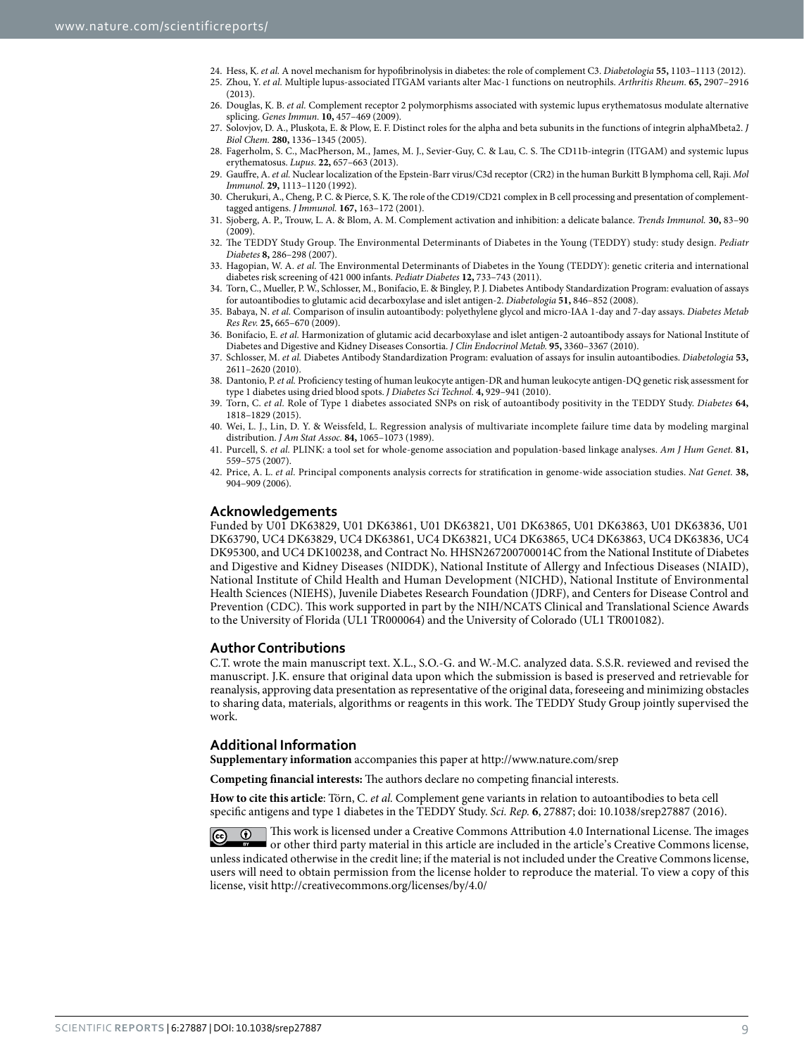- <span id="page-8-0"></span>24. Hess, K. *et al.* A novel mechanism for hypofibrinolysis in diabetes: the role of complement C3. *Diabetologia* **55,** 1103–1113 (2012).
- <span id="page-8-1"></span>25. Zhou, Y. *et al.* Multiple lupus-associated ITGAM variants alter Mac-1 functions on neutrophils. *Arthritis Rheum.* **65,** 2907–2916 (2013).
- <span id="page-8-2"></span>26. Douglas, K. B. *et al.* Complement receptor 2 polymorphisms associated with systemic lupus erythematosus modulate alternative splicing. *Genes Immun.* **10,** 457–469 (2009).
- <span id="page-8-3"></span>27. Solovjov, D. A., Pluskota, E. & Plow, E. F. Distinct roles for the alpha and beta subunits in the functions of integrin alphaMbeta2. *J Biol Chem.* **280,** 1336–1345 (2005).
- <span id="page-8-4"></span>28. Fagerholm, S. C., MacPherson, M., James, M. J., Sevier-Guy, C. & Lau, C. S. The CD11b-integrin (ITGAM) and systemic lupus erythematosus. *Lupus.* **22,** 657–663 (2013).
- <span id="page-8-5"></span>29. Gauffre, A. *et al.* Nuclear localization of the Epstein-Barr virus/C3d receptor (CR2) in the human Burkitt B lymphoma cell, Raji. *Mol Immunol.* **29,** 1113–1120 (1992).
- <span id="page-8-6"></span>30. Cherukuri, A., Cheng, P. C. & Pierce, S. K. The role of the CD19/CD21 complex in B cell processing and presentation of complementtagged antigens. *J Immunol.* **167,** 163–172 (2001).
- <span id="page-8-7"></span>31. Sjoberg, A. P., Trouw, L. A. & Blom, A. M. Complement activation and inhibition: a delicate balance. *Trends Immunol.* **30,** 83–90  $(2009)$
- <span id="page-8-8"></span>32. The TEDDY Study Group. The Environmental Determinants of Diabetes in the Young (TEDDY) study: study design. *Pediatr Diabetes* **8,** 286–298 (2007).
- <span id="page-8-9"></span>33. Hagopian, W. A. *et al.* The Environmental Determinants of Diabetes in the Young (TEDDY): genetic criteria and international diabetes risk screening of 421 000 infants. *Pediatr Diabetes* **12,** 733–743 (2011).
- <span id="page-8-10"></span>34. Torn, C., Mueller, P. W., Schlosser, M., Bonifacio, E. & Bingley, P. J. Diabetes Antibody Standardization Program: evaluation of assays for autoantibodies to glutamic acid decarboxylase and islet antigen-2. *Diabetologia* **51,** 846–852 (2008).
- 35. Babaya, N. *et al.* Comparison of insulin autoantibody: polyethylene glycol and micro-IAA 1-day and 7-day assays. *Diabetes Metab Res Rev.* **25,** 665–670 (2009).
- 36. Bonifacio, E. *et al.* Harmonization of glutamic acid decarboxylase and islet antigen-2 autoantibody assays for National Institute of Diabetes and Digestive and Kidney Diseases Consortia. *J Clin Endocrinol Metab.* **95,** 3360–3367 (2010).
- 37. Schlosser, M. *et al.* Diabetes Antibody Standardization Program: evaluation of assays for insulin autoantibodies. *Diabetologia* **53,** 2611–2620 (2010).
- <span id="page-8-11"></span>38. Dantonio, P. *et al.* Proficiency testing of human leukocyte antigen-DR and human leukocyte antigen-DQ genetic risk assessment for type 1 diabetes using dried blood spots. *J Diabetes Sci Technol.* **4,** 929–941 (2010).
- <span id="page-8-12"></span>39. Torn, C. *et al.* Role of Type 1 diabetes associated SNPs on risk of autoantibody positivity in the TEDDY Study. *Diabetes* **64,** 1818–1829 (2015).
- <span id="page-8-13"></span>40. Wei, L. J., Lin, D. Y. & Weissfeld, L. Regression analysis of multivariate incomplete failure time data by modeling marginal distribution. *J Am Stat Assoc.* **84,** 1065–1073 (1989).
- <span id="page-8-14"></span>41. Purcell, S. *et al.* PLINK: a tool set for whole-genome association and population-based linkage analyses. *Am J Hum Genet.* **81,** 559–575 (2007).
- <span id="page-8-15"></span>42. Price, A. L. *et al.* Principal components analysis corrects for stratification in genome-wide association studies. *Nat Genet.* **38,** 904–909 (2006).

#### **Acknowledgements**

Funded by U01 DK63829, U01 DK63861, U01 DK63821, U01 DK63865, U01 DK63863, U01 DK63836, U01 DK63790, UC4 DK63829, UC4 DK63861, UC4 DK63821, UC4 DK63865, UC4 DK63863, UC4 DK63836, UC4 DK95300, and UC4 DK100238, and Contract No. HHSN267200700014C from the National Institute of Diabetes and Digestive and Kidney Diseases (NIDDK), National Institute of Allergy and Infectious Diseases (NIAID), National Institute of Child Health and Human Development (NICHD), National Institute of Environmental Health Sciences (NIEHS), Juvenile Diabetes Research Foundation (JDRF), and Centers for Disease Control and Prevention (CDC). This work supported in part by the NIH/NCATS Clinical and Translational Science Awards to the University of Florida (UL1 TR000064) and the University of Colorado (UL1 TR001082).

#### **Author Contributions**

C.T. wrote the main manuscript text. X.L., S.O.-G. and W.-M.C. analyzed data. S.S.R. reviewed and revised the manuscript. J.K. ensure that original data upon which the submission is based is preserved and retrievable for reanalysis, approving data presentation as representative of the original data, foreseeing and minimizing obstacles to sharing data, materials, algorithms or reagents in this work. The TEDDY Study Group jointly supervised the work.

#### **Additional Information**

**Supplementary information** accompanies this paper at <http://www.nature.com/srep>

**Competing financial interests:** The authors declare no competing financial interests.

**How to cite this article**: Törn, C. *et al.* Complement gene variants in relation to autoantibodies to beta cell specific antigens and type 1 diabetes in the TEDDY Study. *Sci. Rep.* **6**, 27887; doi: 10.1038/srep27887 (2016).

 $\boxed{\odot}$  This work is licensed under a Creative Commons Attribution 4.0 International License. The images or other third party material in this article are included in the article's Creative Commons license, unless indicated otherwise in the credit line; if the material is not included under the Creative Commons license, users will need to obtain permission from the license holder to reproduce the material. To view a copy of this license, visit <http://creativecommons.org/licenses/by/4.0/>